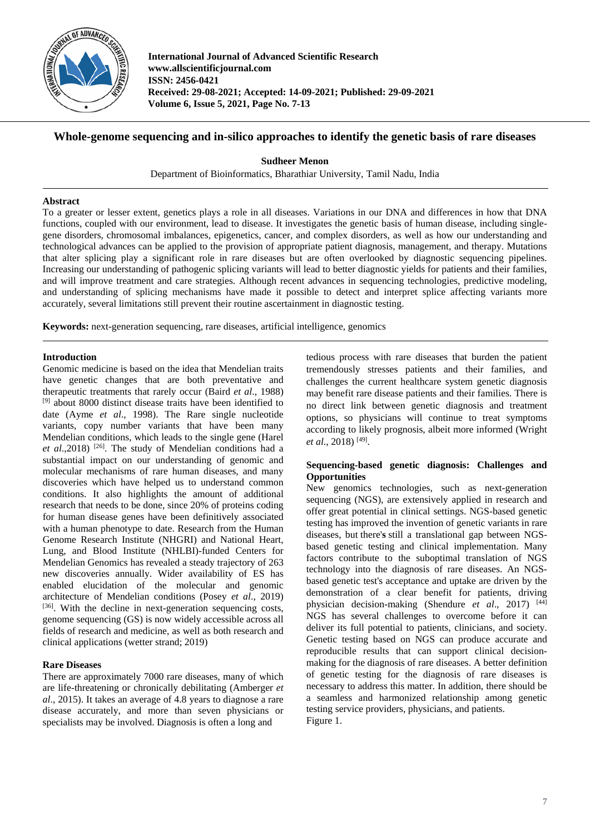

**International Journal of Advanced Scientific Research www.allscientificjournal.com ISSN: 2456-0421 Received: 29-08-2021; Accepted: 14-09-2021; Published: 29-09-2021 Volume 6, Issue 5, 2021, Page No. 7-13**

# **Whole-genome sequencing and in-silico approaches to identify the genetic basis of rare diseases**

**Sudheer Menon**

Department of Bioinformatics, Bharathiar University, Tamil Nadu, India

## **Abstract**

To a greater or lesser extent, genetics plays a role in all diseases. Variations in our DNA and differences in how that DNA functions, coupled with our environment, lead to disease. It investigates the genetic basis of human disease, including singlegene disorders, chromosomal imbalances, epigenetics, cancer, and complex disorders, as well as how our understanding and technological advances can be applied to the provision of appropriate patient diagnosis, management, and therapy. Mutations that alter splicing play a significant role in rare diseases but are often overlooked by diagnostic sequencing pipelines. Increasing our understanding of pathogenic splicing variants will lead to better diagnostic yields for patients and their families, and will improve treatment and care strategies. Although recent advances in sequencing technologies, predictive modeling, and understanding of splicing mechanisms have made it possible to detect and interpret splice affecting variants more accurately, several limitations still prevent their routine ascertainment in diagnostic testing.

**Keywords:** next-generation sequencing, rare diseases, artificial intelligence, genomics

## **Introduction**

Genomic medicine is based on the idea that Mendelian traits have genetic changes that are both preventative and therapeutic treatments that rarely occur (Baird *et al*., 1988) [9] about 8000 distinct disease traits have been identified to date (Ayme *et al*., 1998). The Rare single nucleotide variants, copy number variants that have been many Mendelian conditions, which leads to the single gene (Harel et al.,2018)<sup>[26]</sup>. The study of Mendelian conditions had a substantial impact on our understanding of genomic and molecular mechanisms of rare human diseases, and many discoveries which have helped us to understand common conditions. It also highlights the amount of additional research that needs to be done, since 20% of proteins coding for human disease genes have been definitively associated with a human phenotype to date. Research from the Human Genome Research Institute (NHGRI) and National Heart, Lung, and Blood Institute (NHLBI)-funded Centers for Mendelian Genomics has revealed a steady trajectory of 263 new discoveries annually. Wider availability of ES has enabled elucidation of the molecular and genomic architecture of Mendelian conditions (Posey *et al*., 2019) [36]. With the decline in next-generation sequencing costs, genome sequencing (GS) is now widely accessible across all fields of research and medicine, as well as both research and clinical applications (wetter strand; 2019)

## **Rare Diseases**

There are approximately 7000 rare diseases, many of which are life-threatening or chronically debilitating (Amberger *et al*., 2015). It takes an average of 4.8 years to diagnose a rare disease accurately, and more than seven physicians or specialists may be involved. Diagnosis is often a long and

tedious process with rare diseases that burden the patient tremendously stresses patients and their families, and challenges the current healthcare system genetic diagnosis may benefit rare disease patients and their families. There is no direct link between genetic diagnosis and treatment options, so physicians will continue to treat symptoms according to likely prognosis, albeit more informed (Wright *et al*., 2018) [49].

## **Sequencing-based genetic diagnosis: Challenges and Opportunities**

New genomics technologies, such as next-generation sequencing (NGS), are extensively applied in research and offer great potential in clinical settings. NGS-based genetic testing has improved the invention of genetic variants in rare diseases, but there'**s** still a translational gap between NGSbased genetic testing and clinical implementation. Many factors contribute to the suboptimal translation of NGS technology into the diagnosis of rare diseases. An NGSbased genetic test's acceptance and uptake are driven by the demonstration of a clear benefit for patients, driving physician decision-making (Shendure *et al*., 2017) [44] NGS has several challenges to overcome before it can deliver its full potential to patients, clinicians, and society. Genetic testing based on NGS can produce accurate and reproducible results that can support clinical decisionmaking for the diagnosis of rare diseases. A better definition of genetic testing for the diagnosis of rare diseases is necessary to address this matter. In addition, there should be a seamless and harmonized relationship among genetic testing service providers, physicians, and patients. Figure 1.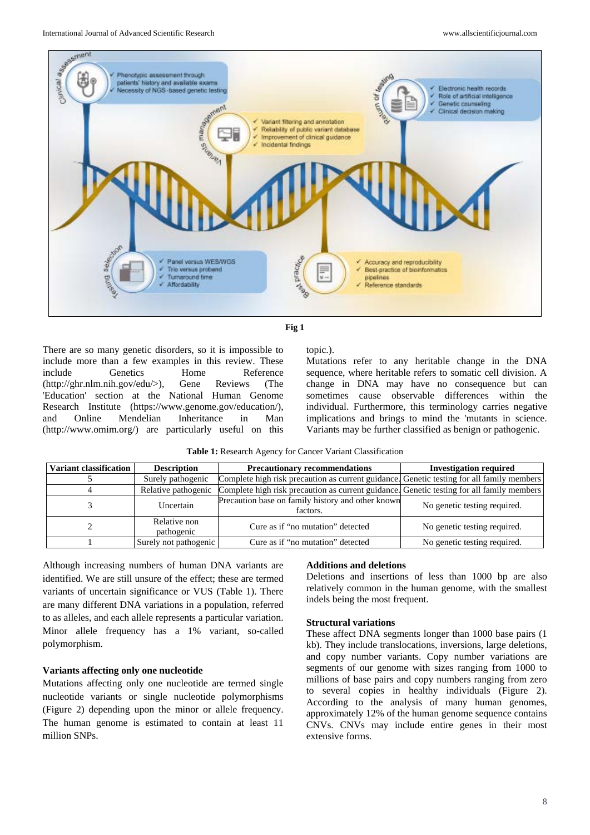



There are so many genetic disorders, so it is impossible to include more than a few examples in this review. These include Genetics Home Reference (http://ghr.nlm.nih.gov/edu/>), Gene Reviews (The 'Education' section at the National Human Genome Research Institute (https://www.genome.gov/education/), and Online Mendelian Inheritance in Man (http://www.omim.org/) are particularly useful on this

topic.).

Mutations refer to any heritable change in the DNA sequence, where heritable refers to somatic cell division. A change in DNA may have no consequence but can sometimes cause observable differences within the individual. Furthermore, this terminology carries negative implications and brings to mind the 'mutants in science. Variants may be further classified as benign or pathogenic.

|  | <b>Table 1:</b> Research Agency for Cancer Variant Classification |
|--|-------------------------------------------------------------------|
|--|-------------------------------------------------------------------|

| Variant classification | <b>Description</b>         | <b>Precautionary recommendations</b>                                                      | <b>Investigation required</b> |
|------------------------|----------------------------|-------------------------------------------------------------------------------------------|-------------------------------|
|                        | Surely pathogenic          | Complete high risk precaution as current guidance. Genetic testing for all family members |                               |
|                        | Relative pathogenic        | Complete high risk precaution as current guidance. Genetic testing for all family members |                               |
|                        | Uncertain                  | Precaution base on family history and other known<br>factors.                             | No genetic testing required.  |
|                        | Relative non<br>pathogenic | Cure as if "no mutation" detected                                                         | No genetic testing required.  |
|                        | Surely not pathogenic      | Cure as if "no mutation" detected                                                         | No genetic testing required.  |

Although increasing numbers of human DNA variants are identified. We are still unsure of the effect; these are termed variants of uncertain significance or VUS (Table 1). There are many different DNA variations in a population, referred to as alleles, and each allele represents a particular variation. Minor allele frequency has a 1% variant, so-called polymorphism.

## **Variants affecting only one nucleotide**

Mutations affecting only one nucleotide are termed single nucleotide variants or single nucleotide polymorphisms (Figure 2) depending upon the minor or allele frequency. The human genome is estimated to contain at least 11 million SNPs.

#### **Additions and deletions**

Deletions and insertions of less than 1000 bp are also relatively common in the human genome, with the smallest indels being the most frequent.

#### **Structural variations**

These affect DNA segments longer than 1000 base pairs (1 kb). They include translocations, inversions, large deletions, and copy number variants. Copy number variations are segments of our genome with sizes ranging from 1000 to millions of base pairs and copy numbers ranging from zero to several copies in healthy individuals (Figure 2). According to the analysis of many human genomes, approximately 12% of the human genome sequence contains CNVs. CNVs may include entire genes in their most extensive forms.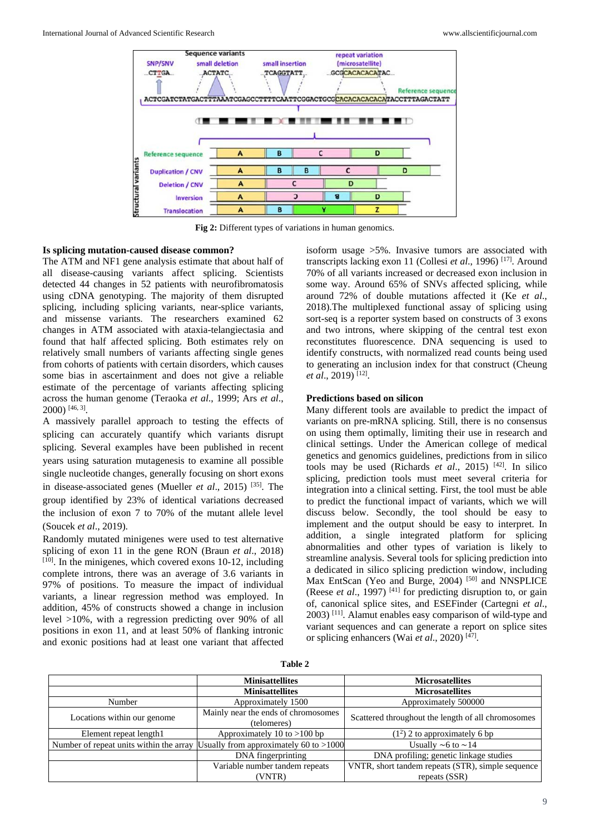

**Fig 2:** Different types of variations in human genomics.

#### **Is splicing mutation-caused disease common?**

The ATM and NF1 gene analysis estimate that about half of all disease-causing variants affect splicing. Scientists detected 44 changes in 52 patients with neurofibromatosis using cDNA genotyping. The majority of them disrupted splicing, including splicing variants, near-splice variants, and missense variants. The researchers examined 62 changes in ATM associated with ataxia-telangiectasia and found that half affected splicing. Both estimates rely on relatively small numbers of variants affecting single genes from cohorts of patients with certain disorders, which causes some bias in ascertainment and does not give a reliable estimate of the percentage of variants affecting splicing across the human genome (Teraoka *et al*., 1999; Ars *et al*., 2000) [46, 3].

A massively parallel approach to testing the effects of splicing can accurately quantify which variants disrupt splicing. Several examples have been published in recent years using saturation mutagenesis to examine all possible single nucleotide changes, generally focusing on short exons in disease-associated genes (Mueller *et al*., 2015) [35]. The group identified by 23% of identical variations decreased the inclusion of exon 7 to 70% of the mutant allele level (Soucek *et al*., 2019).

Randomly mutated minigenes were used to test alternative splicing of exon 11 in the gene RON (Braun *et al*., 2018)  $[10]$ . In the minigenes, which covered exons 10-12, including complete introns, there was an average of 3.6 variants in 97% of positions. To measure the impact of individual variants, a linear regression method was employed. In addition, 45% of constructs showed a change in inclusion level >10%, with a regression predicting over 90% of all positions in exon 11, and at least 50% of flanking intronic and exonic positions had at least one variant that affected

isoform usage >5%. Invasive tumors are associated with transcripts lacking exon 11 (Collesi *et al*., 1996) [17]. Around 70% of all variants increased or decreased exon inclusion in some way. Around 65% of SNVs affected splicing, while around 72% of double mutations affected it (Ke *et al*., 2018).The multiplexed functional assay of splicing using sort-seq is a reporter system based on constructs of 3 exons and two introns, where skipping of the central test exon reconstitutes fluorescence. DNA sequencing is used to identify constructs, with normalized read counts being used to generating an inclusion index for that construct (Cheung *et al*., 2019) [12].

## **Predictions based on silicon**

Many different tools are available to predict the impact of variants on pre-mRNA splicing. Still, there is no consensus on using them optimally, limiting their use in research and clinical settings. Under the American college of medical genetics and genomics guidelines, predictions from in silico tools may be used (Richards *et al*., 2015) [42]. In silico splicing, prediction tools must meet several criteria for integration into a clinical setting. First, the tool must be able to predict the functional impact of variants, which we will discuss below. Secondly, the tool should be easy to implement and the output should be easy to interpret. In addition, a single integrated platform for splicing abnormalities and other types of variation is likely to streamline analysis. Several tools for splicing prediction into a dedicated in silico splicing prediction window, including Max EntScan (Yeo and Burge, 2004)<sup>[50]</sup> and NNSPLICE (Reese *et al.*, 1997)<sup>[41]</sup> for predicting disruption to, or gain of, canonical splice sites, and ESEFinder (Cartegni *et al*., 2003) [11]. Alamut enables easy comparison of wild-type and variant sequences and can generate a report on splice sites or splicing enhancers (Wai *et al*., 2020) [47].

| L<br>n |  |
|--------|--|
| ۰,     |  |

|                             | <b>Minisattellites</b>                                                           | <b>Microsatellites</b>                             |  |
|-----------------------------|----------------------------------------------------------------------------------|----------------------------------------------------|--|
|                             | <b>Minisattellites</b>                                                           | <b>Microsatellites</b>                             |  |
| Number                      | Approximately 1500                                                               | Approximately 500000                               |  |
| Locations within our genome | Mainly near the ends of chromosomes<br>(telomeres)                               | Scattered throughout the length of all chromosomes |  |
| Element repeat length1      | Approximately 10 to $>100$ bp                                                    | $(12)$ 2 to approximately 6 bp                     |  |
|                             | Number of repeat units within the array Usually from approximately 60 to $>1000$ | Usually $\sim$ 6 to $\sim$ 14                      |  |
|                             | DNA fingerprinting                                                               | DNA profiling; genetic linkage studies             |  |
|                             | Variable number tandem repeats                                                   | VNTR, short tandem repeats (STR), simple sequence  |  |
|                             | (VNTR)                                                                           | repeats (SSR)                                      |  |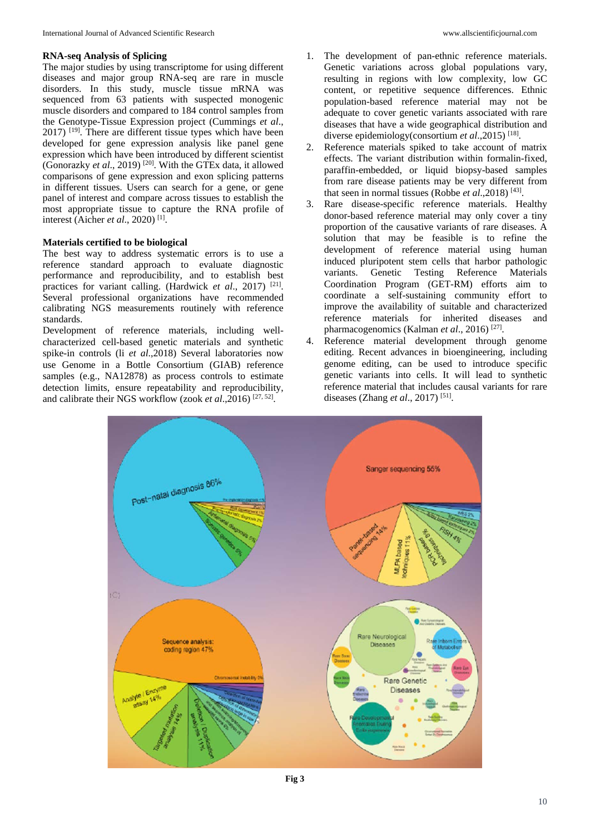## **RNA-seq Analysis of Splicing**

The major studies by using transcriptome for using different diseases and major group RNA-seq are rare in muscle disorders. In this study, muscle tissue mRNA was sequenced from 63 patients with suspected monogenic muscle disorders and compared to 184 control samples from the Genotype-Tissue Expression project (Cummings *et al*., 2017) [19]. There are different tissue types which have been developed for gene expression analysis like panel gene expression which have been introduced by different scientist (Gonorazky *et al*., 2019) [20]. With the GTEx data, it allowed comparisons of gene expression and exon splicing patterns in different tissues. Users can search for a gene, or gene panel of interest and compare across tissues to establish the most appropriate tissue to capture the RNA profile of interest (Aicher *et al*., 2020) [1].

## **Materials certified to be biological**

The best way to address systematic errors is to use a reference standard approach to evaluate diagnostic performance and reproducibility, and to establish best practices for variant calling. (Hardwick *et al*., 2017) [21]. Several professional organizations have recommended calibrating NGS measurements routinely with reference standards.

Development of reference materials, including wellcharacterized cell-based genetic materials and synthetic spike-in controls (li *et al*.,2018) Several laboratories now use Genome in a Bottle Consortium (GIAB) reference samples (e.g., NA12878) as process controls to estimate detection limits, ensure repeatability and reproducibility, and calibrate their NGS workflow (zook *et al.*,2016)<sup>[27, 52]</sup>.

- 1. The development of pan-ethnic reference materials. Genetic variations across global populations vary, resulting in regions with low complexity, low GC content, or repetitive sequence differences. Ethnic population-based reference material may not be adequate to cover genetic variants associated with rare diseases that have a wide geographical distribution and diverse epidemiology(consortium *et al*.,2015) [18].
- 2. Reference materials spiked to take account of matrix effects. The variant distribution within formalin-fixed, paraffin-embedded, or liquid biopsy-based samples from rare disease patients may be very different from that seen in normal tissues (Robbe *et al*.,2018) [43].
- 3. Rare disease-specific reference materials. Healthy donor-based reference material may only cover a tiny proportion of the causative variants of rare diseases. A solution that may be feasible is to refine the development of reference material using human induced pluripotent stem cells that harbor pathologic variants. Genetic Testing Reference Materials Coordination Program (GET-RM) efforts aim to coordinate a self-sustaining community effort to improve the availability of suitable and characterized reference materials for inherited diseases and pharmacogenomics (Kalman *et al*., 2016) [27].
- 4. Reference material development through genome editing. Recent advances in bioengineering, including genome editing, can be used to introduce specific genetic variants into cells. It will lead to synthetic reference material that includes causal variants for rare diseases (Zhang *et al*., 2017) [51].

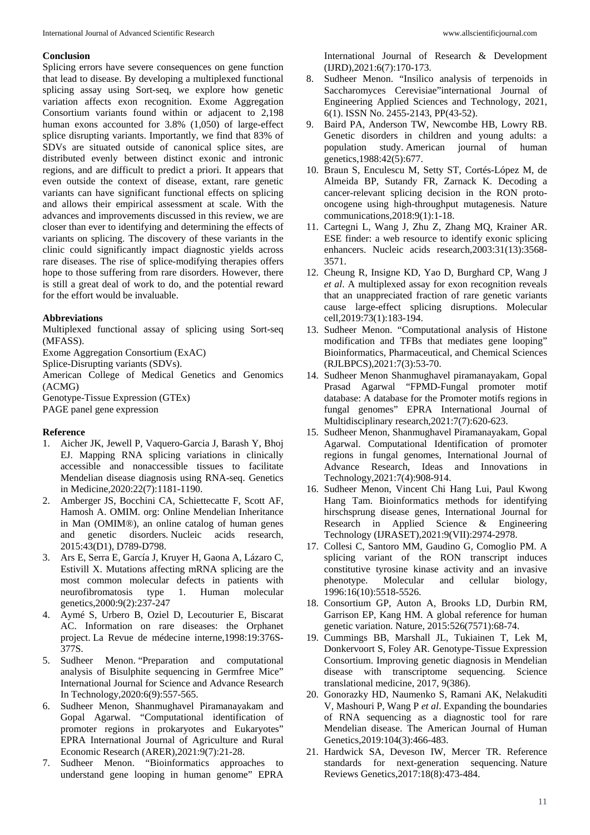## **Conclusion**

Splicing errors have severe consequences on gene function that lead to disease. By developing a multiplexed functional splicing assay using Sort-seq, we explore how genetic variation affects exon recognition. Exome Aggregation Consortium variants found within or adjacent to 2,198 human exons accounted for 3.8% (1,050) of large-effect splice disrupting variants. Importantly, we find that 83% of SDVs are situated outside of canonical splice sites, are distributed evenly between distinct exonic and intronic regions, and are difficult to predict a priori. It appears that even outside the context of disease, extant, rare genetic variants can have significant functional effects on splicing and allows their empirical assessment at scale. With the advances and improvements discussed in this review, we are closer than ever to identifying and determining the effects of variants on splicing. The discovery of these variants in the clinic could significantly impact diagnostic yields across rare diseases. The rise of splice-modifying therapies offers hope to those suffering from rare disorders. However, there is still a great deal of work to do, and the potential reward for the effort would be invaluable.

## **Abbreviations**

Multiplexed functional assay of splicing using Sort-seq (MFASS).

Exome Aggregation Consortium (ExAC)

Splice-Disrupting variants (SDVs).

American College of Medical Genetics and Genomics (ACMG)

Genotype-Tissue Expression (GTEx)

PAGE panel gene expression

# **Reference**

- 1. Aicher JK, Jewell P, Vaquero-Garcia J, Barash Y, Bhoj EJ. Mapping RNA splicing variations in clinically accessible and nonaccessible tissues to facilitate Mendelian disease diagnosis using RNA-seq. Genetics in Medicine,2020:22(7):1181-1190.
- 2. Amberger JS, Bocchini CA, Schiettecatte F, Scott AF, Hamosh A. OMIM. org: Online Mendelian Inheritance in Man (OMIM®), an online catalog of human genes and genetic disorders. Nucleic acids research, 2015:43(D1), D789-D798.
- 3. Ars E, Serra E, García J, Kruyer H, Gaona A, Lázaro C, Estivill X. Mutations affecting mRNA splicing are the most common molecular defects in patients with neurofibromatosis type 1. Human molecular genetics,2000:9(2):237-247
- 4. Aymé S, Urbero B, Oziel D, Lecouturier E, Biscarat AC. Information on rare diseases: the Orphanet project. La Revue de médecine interne,1998:19:376S-377S.
- 5. Sudheer Menon. "Preparation and computational analysis of Bisulphite sequencing in Germfree Mice" International Journal for Science and Advance Research In Technology,2020:6(9):557-565.
- 6. Sudheer Menon, Shanmughavel Piramanayakam and Gopal Agarwal. "Computational identification of promoter regions in prokaryotes and Eukaryotes" EPRA International Journal of Agriculture and Rural Economic Research (ARER),2021:9(7):21-28.
- 7. Sudheer Menon. "Bioinformatics approaches to understand gene looping in human genome" EPRA

International Journal of Research & Development (IJRD),2021:6(7):170-173.

- 8. Sudheer Menon. "Insilico analysis of terpenoids in Saccharomyces Cerevisiae"international Journal of Engineering Applied Sciences and Technology, 2021, 6(1). ISSN No. 2455-2143, PP(43-52).
- 9. Baird PA, Anderson TW, Newcombe HB, Lowry RB. Genetic disorders in children and young adults: a population study. American journal of human genetics,1988:42(5):677.
- 10. Braun S, Enculescu M, Setty ST, Cortés-López M, de Almeida BP, Sutandy FR, Zarnack K. Decoding a cancer-relevant splicing decision in the RON protooncogene using high-throughput mutagenesis. Nature communications,2018:9(1):1-18.
- 11. Cartegni L, Wang J, Zhu Z, Zhang MQ, Krainer AR. ESE finder: a web resource to identify exonic splicing enhancers. Nucleic acids research,2003:31(13):3568- 3571.
- 12. Cheung R, Insigne KD, Yao D, Burghard CP, Wang J *et al*. A multiplexed assay for exon recognition reveals that an unappreciated fraction of rare genetic variants cause large-effect splicing disruptions. Molecular cell,2019:73(1):183-194.
- 13. Sudheer Menon. "Computational analysis of Histone modification and TFBs that mediates gene looping" Bioinformatics, Pharmaceutical, and Chemical Sciences (RJLBPCS),2021:7(3):53-70.
- 14. Sudheer Menon Shanmughavel piramanayakam, Gopal Prasad Agarwal "FPMD-Fungal promoter motif database: A database for the Promoter motifs regions in fungal genomes" EPRA International Journal of Multidisciplinary research,2021:7(7):620-623.
- 15. Sudheer Menon, Shanmughavel Piramanayakam, Gopal Agarwal. Computational Identification of promoter regions in fungal genomes, International Journal of Advance Research, Ideas and Innovations in Technology,2021:7(4):908-914.
- 16. Sudheer Menon, Vincent Chi Hang Lui, Paul Kwong Hang Tam. Bioinformatics methods for identifying hirschsprung disease genes, International Journal for Research in Applied Science & Engineering Technology (IJRASET),2021:9(VII):2974-2978.
- 17. Collesi C, Santoro MM, Gaudino G, Comoglio PM. A splicing variant of the RON transcript induces constitutive tyrosine kinase activity and an invasive phenotype. Molecular and cellular biology, 1996:16(10):5518-5526.
- 18. Consortium GP, Auton A, Brooks LD, Durbin RM, Garrison EP, Kang HM. A global reference for human genetic variation. Nature, 2015:526(7571):68-74.
- 19. Cummings BB, Marshall JL, Tukiainen T, Lek M, Donkervoort S, Foley AR. Genotype-Tissue Expression Consortium. Improving genetic diagnosis in Mendelian disease with transcriptome sequencing. Science translational medicine, 2017, 9(386).
- 20. Gonorazky HD, Naumenko S, Ramani AK, Nelakuditi V, Mashouri P, Wang P *et al*. Expanding the boundaries of RNA sequencing as a diagnostic tool for rare Mendelian disease. The American Journal of Human Genetics,2019:104(3):466-483.
- 21. Hardwick SA, Deveson IW, Mercer TR. Reference standards for next-generation sequencing. Nature Reviews Genetics,2017:18(8):473-484.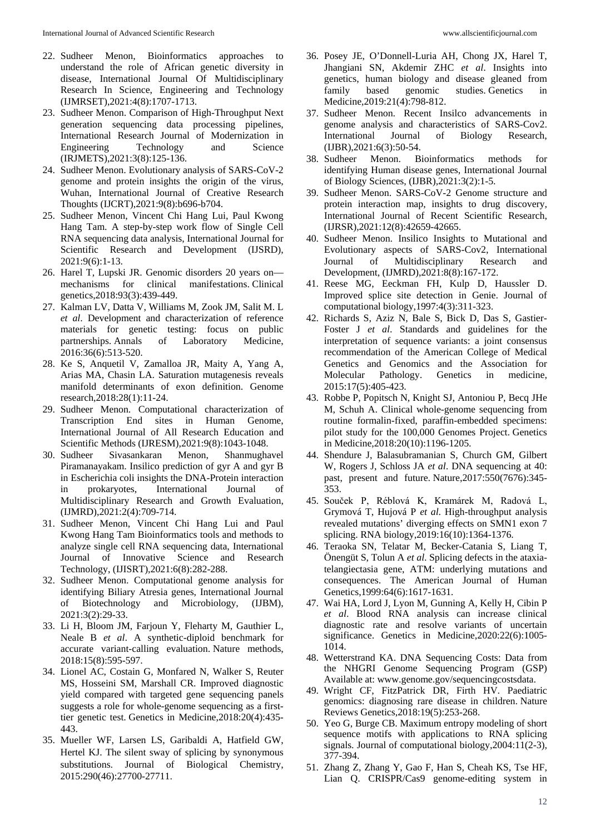- 22. Sudheer Menon, Bioinformatics approaches to understand the role of African genetic diversity in disease, International Journal Of Multidisciplinary Research In Science, Engineering and Technology (IJMRSET),2021:4(8):1707-1713.
- 23. Sudheer Menon. Comparison of High-Throughput Next generation sequencing data processing pipelines, International Research Journal of Modernization in Engineering Technology and Science (IRJMETS),2021:3(8):125-136.
- 24. Sudheer Menon. Evolutionary analysis of SARS-CoV-2 genome and protein insights the origin of the virus, Wuhan, International Journal of Creative Research Thoughts (IJCRT),2021:9(8):b696-b704.
- 25. Sudheer Menon, Vincent Chi Hang Lui, Paul Kwong Hang Tam. A step-by-step work flow of Single Cell RNA sequencing data analysis, International Journal for Scientific Research and Development (IJSRD), 2021:9(6):1-13.
- 26. Harel T, Lupski JR. Genomic disorders 20 years on mechanisms for clinical manifestations. Clinical genetics,2018:93(3):439-449.
- 27. Kalman LV, Datta V, Williams M, Zook JM, Salit M. L *et al*. Development and characterization of reference materials for genetic testing: focus on public partnerships. Annals of Laboratory Medicine, 2016:36(6):513-520.
- 28. Ke S, Anquetil V, Zamalloa JR, Maity A, Yang A, Arias MA, Chasin LA. Saturation mutagenesis reveals manifold determinants of exon definition. Genome research,2018:28(1):11-24.
- 29. Sudheer Menon. Computational characterization of Transcription End sites in Human Genome, International Journal of All Research Education and Scientific Methods (IJRESM),2021:9(8):1043-1048.
- 30. Sudheer Sivasankaran Menon, Shanmughavel Piramanayakam. Insilico prediction of gyr A and gyr B in Escherichia coli insights the DNA-Protein interaction in prokaryotes, International Journal of Multidisciplinary Research and Growth Evaluation, (IJMRD),2021:2(4):709-714.
- 31. Sudheer Menon, Vincent Chi Hang Lui and Paul Kwong Hang Tam Bioinformatics tools and methods to analyze single cell RNA sequencing data, International Journal of Innovative Science and Research Technology, (IJISRT),2021:6(8):282-288.
- 32. Sudheer Menon. Computational genome analysis for identifying Biliary Atresia genes, International Journal of Biotechnology and Microbiology, (IJBM), 2021:3(2):29-33.
- 33. Li H, Bloom JM, Farjoun Y, Fleharty M, Gauthier L, Neale B *et al*. A synthetic-diploid benchmark for accurate variant-calling evaluation. Nature methods, 2018:15(8):595-597.
- 34. Lionel AC, Costain G, Monfared N, Walker S, Reuter MS, Hosseini SM, Marshall CR. Improved diagnostic yield compared with targeted gene sequencing panels suggests a role for whole-genome sequencing as a firsttier genetic test. Genetics in Medicine,2018:20(4):435- 443.
- 35. Mueller WF, Larsen LS, Garibaldi A, Hatfield GW, Hertel KJ. The silent sway of splicing by synonymous substitutions. Journal of Biological Chemistry, 2015:290(46):27700-27711.
- 36. Posey JE, O'Donnell-Luria AH, Chong JX, Harel T, Jhangiani SN, Akdemir ZHC *et al*. Insights into genetics, human biology and disease gleaned from family based genomic studies. Genetics in Medicine,2019:21(4):798-812.
- 37. Sudheer Menon. Recent Insilco advancements in genome analysis and characteristics of SARS-Cov2. International Journal of Biology Research, (IJBR),2021:6(3):50-54.
- 38. Sudheer Menon. Bioinformatics methods for identifying Human disease genes, International Journal of Biology Sciences, (IJBR),2021:3(2):1-5.
- 39. Sudheer Menon. SARS-CoV-2 Genome structure and protein interaction map, insights to drug discovery, International Journal of Recent Scientific Research, (IJRSR),2021:12(8):42659-42665.
- 40. Sudheer Menon. Insilico Insights to Mutational and Evolutionary aspects of SARS-Cov2, International Journal of Multidisciplinary Research and Development, (IJMRD),2021:8(8):167-172.
- 41. Reese MG, Eeckman FH, Kulp D, Haussler D. Improved splice site detection in Genie. Journal of computational biology,1997:4(3):311-323.
- 42. Richards S, Aziz N, Bale S, Bick D, Das S, Gastier-Foster J *et al*. Standards and guidelines for the interpretation of sequence variants: a joint consensus recommendation of the American College of Medical Genetics and Genomics and the Association for Molecular Pathology. Genetics in medicine, 2015:17(5):405-423.
- 43. Robbe P, Popitsch N, Knight SJ, Antoniou P, Becq JHe M, Schuh A. Clinical whole-genome sequencing from routine formalin-fixed, paraffin-embedded specimens: pilot study for the 100,000 Genomes Project. Genetics in Medicine,2018:20(10):1196-1205.
- 44. Shendure J, Balasubramanian S, Church GM, Gilbert W, Rogers J, Schloss JA *et al*. DNA sequencing at 40: past, present and future. Nature,2017:550(7676):345- 353.
- 45. Souček P, Réblová K, Kramárek M, Radová L, Grymová T, Hujová P *et al*. High-throughput analysis revealed mutations' diverging effects on SMN1 exon 7 splicing. RNA biology,2019:16(10):1364-1376.
- 46. Teraoka SN, Telatar M, Becker-Catania S, Liang T, Önengüt S, Tolun A *et al*. Splicing defects in the ataxiatelangiectasia gene, ATM: underlying mutations and consequences. The American Journal of Human Genetics,1999:64(6):1617-1631.
- 47. Wai HA, Lord J, Lyon M, Gunning A, Kelly H, Cibin P *et al*. Blood RNA analysis can increase clinical diagnostic rate and resolve variants of uncertain significance. Genetics in Medicine,2020:22(6):1005- 1014.
- 48. Wetterstrand KA. DNA Sequencing Costs: Data from the NHGRI Genome Sequencing Program (GSP) Available at: www.genome.gov/sequencingcostsdata.
- 49. Wright CF, FitzPatrick DR, Firth HV. Paediatric genomics: diagnosing rare disease in children. Nature Reviews Genetics,2018:19(5):253-268.
- 50. Yeo G, Burge CB. Maximum entropy modeling of short sequence motifs with applications to RNA splicing signals. Journal of computational biology,2004:11(2-3), 377-394.
- 51. Zhang Z, Zhang Y, Gao F, Han S, Cheah KS, Tse HF, Lian Q. CRISPR/Cas9 genome-editing system in